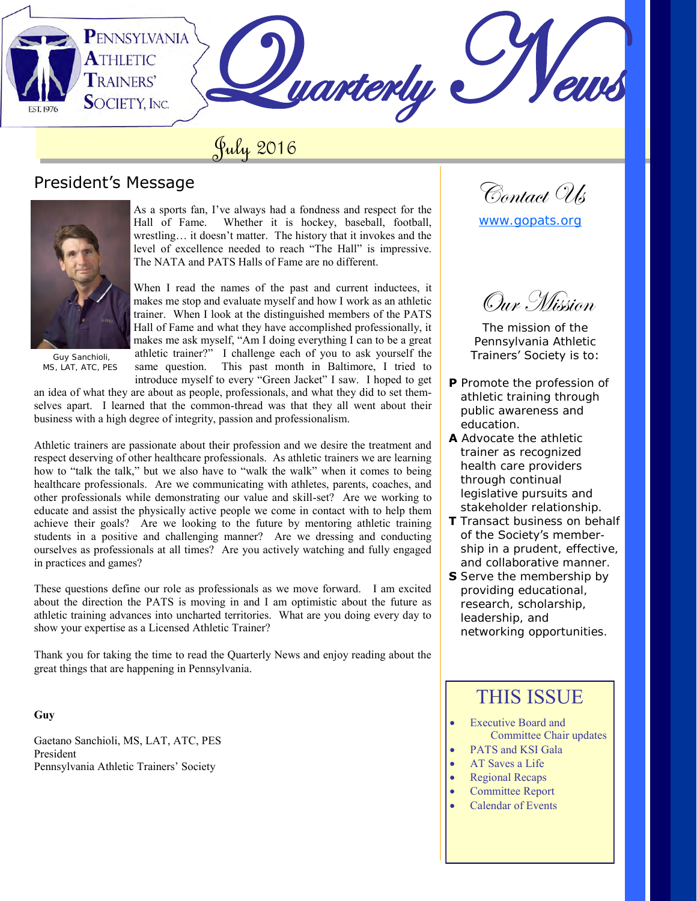PENNSYLVANIA **ATHLETIC Juarterly TRAINERS' SOCIETY, INC.** 

# July 2016

## President's Message



 Guy Sanchioli, MS, LAT, ATC, PES

As a sports fan, I've always had a fondness and respect for the Hall of Fame. Whether it is hockey, baseball, football, wrestling… it doesn't matter. The history that it invokes and the level of excellence needed to reach "The Hall" is impressive. The NATA and PATS Halls of Fame are no different.

When I read the names of the past and current inductees, it makes me stop and evaluate myself and how I work as an athletic trainer. When I look at the distinguished members of the PATS Hall of Fame and what they have accomplished professionally, it makes me ask myself, "Am I doing everything I can to be a great athletic trainer?" I challenge each of you to ask yourself the same question. This past month in Baltimore, I tried to introduce myself to every "Green Jacket" I saw. I hoped to get

an idea of what they are about as people, professionals, and what they did to set themselves apart. I learned that the common-thread was that they all went about their business with a high degree of integrity, passion and professionalism.

Athletic trainers are passionate about their profession and we desire the treatment and respect deserving of other healthcare professionals. As athletic trainers we are learning how to "talk the talk," but we also have to "walk the walk" when it comes to being healthcare professionals. Are we communicating with athletes, parents, coaches, and other professionals while demonstrating our value and skill-set? Are we working to educate and assist the physically active people we come in contact with to help them achieve their goals? Are we looking to the future by mentoring athletic training students in a positive and challenging manner? Are we dressing and conducting ourselves as professionals at all times? Are you actively watching and fully engaged in practices and games?

These questions define our role as professionals as we move forward. I am excited about the direction the PATS is moving in and I am optimistic about the future as athletic training advances into uncharted territories. What are you doing every day to show your expertise as a Licensed Athletic Trainer?

Thank you for taking the time to read the Quarterly News and enjoy reading about the great things that are happening in Pennsylvania.

### **Guy**

Gaetano Sanchioli, MS, LAT, ATC, PES President Pennsylvania Athletic Trainers' Society

Contact Us

[www.gopats.org](http://www.gopats.org/)

Oux Mission

The mission of the Pennsylvania Athletic Trainers' Society is to:

- **P** Promote the profession of athletic training through public awareness and education.
- **A** Advocate the athletic trainer as recognized health care providers through continual legislative pursuits and stakeholder relationship.
- **T** Transact business on behalf of the Society's member ship in a prudent, effective, and collaborative manner.
- **S** Serve the membership by providing educational, research, scholarship, leadership, and networking opportunities.

## THIS ISSUE

- Executive Board and Committee Chair updates
- PATS and KSI Gala
- AT Saves a Life
- Regional Recaps
- Committee Report
- Calendar of Events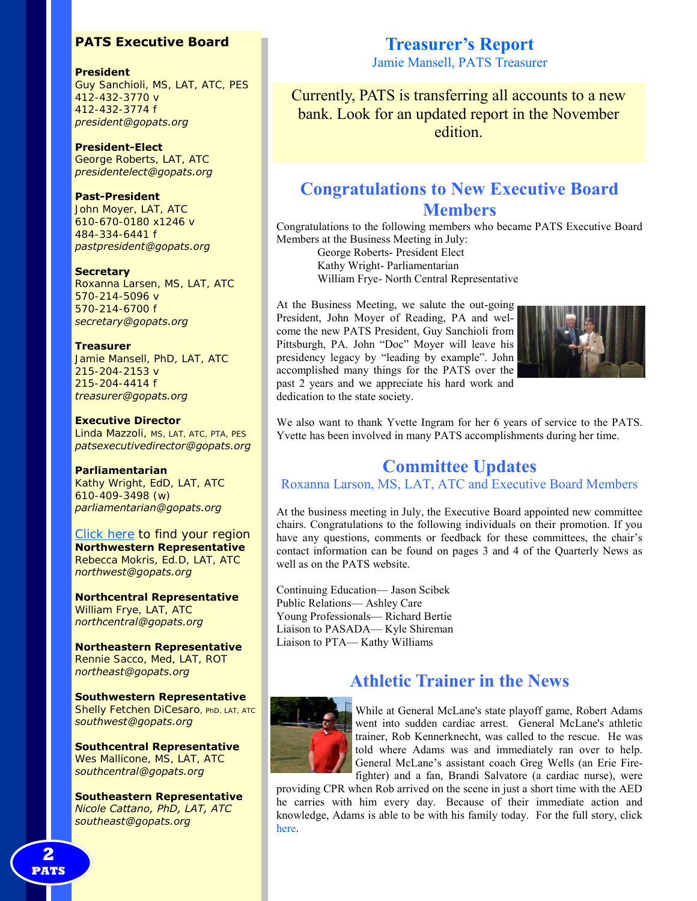## **PATS Executive Board**

### **President**

Guy Sanchioli, MS, LAT, ATC, PES 412-432-3770 v 412-432-3774 f *president@gopats.org* 

**President-Elect**  George Roberts, LAT, ATC *presidentelect@gopats.org* 

### **Past-President**

John Moyer, LAT, ATC 610-670-0180 x1246 v 484-334-6441 f *pastpresident@gopats.org* 

### **Secretary**

Roxanna Larsen, MS, LAT, ATC 570-214-5096 v 570-214-6700 f *secretary@gopats.org* 

### **Treasurer**

Jamie Mansell, PhD, LAT, ATC 215-204-2153 v 215-204-4414 f *treasurer@gopats.org* 

### **Executive Director**

Linda Mazzoli, MS, LAT, ATC, PTA, PES *patsexecutivedirector@gopats.org* 

### **Parliamentarian**

Kathy Wright, EdD, LAT, ATC 610-409-3498 (w) *parliamentarian@gopats.org* 

[Click here t](http://www.gopats.org/governance/PATS-map.htm)o find your region **Northwestern Representative**  Rebecca Mokris, Ed.D, LAT, ATC *northwest@gopats.org* 

**Northcentral Representative**  William Frye, LAT, ATC *northcentral@gopats.org* 

**Northeastern Representative**  Rennie Sacco, Med, LAT, ROT *northeast@gopats.org* 

**Southwestern Representative**  Shelly Fetchen DiCesaro, PhD, LAT, ATC *southwest@gopats.org* 

**Southcentral Representative**  Wes Mallicone, MS, LAT, ATC *southcentral@gopats.org* 

**Southeastern Representative**  *Nicole Cattano, PhD, LAT, ATC southeast@gopats.org* 

## **Treasurer's Report**

Jamie Mansell, PATS Treasurer

Currently, PATS is transferring all accounts to a new bank. Look for an updated report in the November edition.

## **Congratulations to New Executive Board Members**

Congratulations to the following members who became PATS Executive Board Members at the Business Meeting in July:

George Roberts- President Elect Kathy Wright- Parliamentarian William Frye- North Central Representative

At the Business Meeting, we salute the out-going President, John Moyer of Reading, PA and welcome the new PATS President, Guy Sanchioli from Pittsburgh, PA. John "Doc" Moyer will leave his presidency legacy by "leading by example". John accomplished many things for the PATS over the past 2 years and we appreciate his hard work and dedication to the state society.



We also want to thank Yvette Ingram for her 6 years of service to the PATS. Yvette has been involved in many PATS accomplishments during her time.

## **Committee Updates**

Roxanna Larson, MS, LAT, ATC and Executive Board Members

At the business meeting in July, the Executive Board appointed new committee chairs. Congratulations to the following individuals on their promotion. If you have any questions, comments or feedback for these committees, the chair's contact information can be found on pages 3 and 4 of the Quarterly News as well as on the PATS website.

Continuing Education— Jason Scibek Public Relations— Ashley Care Young Professionals— Richard Bertie Liaison to PASADA— Kyle Shireman Liaison to PTA— Kathy Williams

## **Athletic Trainer in the News**



While at General McLane's state playoff game, Robert Adams went into sudden cardiac arrest. General McLane's athletic trainer, Rob Kennerknecht, was called to the rescue. He was told where Adams was and immediately ran over to help. General McLane's assistant coach Greg Wells (an Erie Firefighter) and a fan, Brandi Salvatore (a cardiac nurse), were

providing CPR when Rob arrived on the scene in just a short time with the AED he carries with him every day. Because of their immediate action and knowledge, Adams is able to be with his family today. For the full story, click [here.](http://www.erienewsnow.com/story/32197507/bystanders-save-mans-life-at-softball-game)

**2 PATS**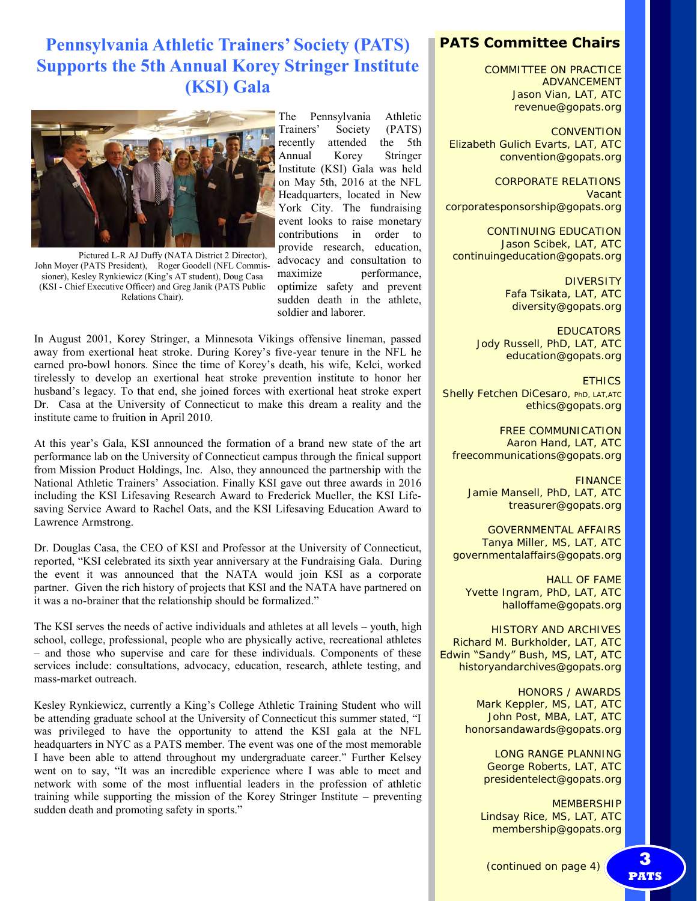## **Pennsylvania Athletic Trainers' Society (PATS) Supports the 5th Annual Korey Stringer Institute (KSI) Gala**



Pictured L-R AJ Duffy (NATA District 2 Director), John Moyer (PATS President), Roger Goodell (NFL Commissioner), Kesley Rynkiewicz (King's AT student), Doug Casa (KSI - Chief Executive Officer) and Greg Janik (PATS Public Relations Chair).

The Pennsylvania Athletic Trainers' Society (PATS) recently attended the 5th Annual Korey Stringer Institute (KSI) Gala was held on May 5th, 2016 at the NFL Headquarters, located in New York City. The fundraising event looks to raise monetary contributions in order to provide research, education, advocacy and consultation to maximize performance, optimize safety and prevent sudden death in the athlete, soldier and laborer.

In August 2001, Korey Stringer, a Minnesota Vikings offensive lineman, passed away from exertional heat stroke. During Korey's five-year tenure in the NFL he earned pro-bowl honors. Since the time of Korey's death, his wife, Kelci, worked tirelessly to develop an exertional heat stroke prevention institute to honor her husband's legacy. To that end, she joined forces with exertional heat stroke expert Dr. Casa at the University of Connecticut to make this dream a reality and the institute came to fruition in April 2010.

At this year's Gala, KSI announced the formation of a brand new state of the art performance lab on the University of Connecticut campus through the finical support from Mission Product Holdings, Inc. Also, they announced the partnership with the National Athletic Trainers' Association. Finally KSI gave out three awards in 2016 including the KSI Lifesaving Research Award to Frederick Mueller, the KSI Lifesaving Service Award to Rachel Oats, and the KSI Lifesaving Education Award to Lawrence Armstrong.

Dr. Douglas Casa, the CEO of KSI and Professor at the University of Connecticut, reported, "KSI celebrated its sixth year anniversary at the Fundraising Gala. During the event it was announced that the NATA would join KSI as a corporate partner. Given the rich history of projects that KSI and the NATA have partnered on it was a no-brainer that the relationship should be formalized."

The KSI serves the needs of active individuals and athletes at all levels – youth, high school, college, professional, people who are physically active, recreational athletes – and those who supervise and care for these individuals. Components of these services include: consultations, advocacy, education, research, athlete testing, and mass-market outreach.

Kesley Rynkiewicz, currently a King's College Athletic Training Student who will be attending graduate school at the University of Connecticut this summer stated, "I was privileged to have the opportunity to attend the KSI gala at the NFL headquarters in NYC as a PATS member. The event was one of the most memorable I have been able to attend throughout my undergraduate career." Further Kelsey went on to say, "It was an incredible experience where I was able to meet and network with some of the most influential leaders in the profession of athletic training while supporting the mission of the Korey Stringer Institute – preventing sudden death and promoting safety in sports."

## **PATS Committee Chairs**

COMMITTEE ON PRACTICE ADVANCEMENT Jason Vian, LAT, ATC revenue@gopats.org

**CONVENTION** Elizabeth Gulich Evarts, LAT, ATC convention@gopats.org

CORPORATE RELATIONS Vacant corporatesponsorship@gopats.org

CONTINUING EDUCATION Jason Scibek, LAT, ATC continuingeducation@gopats.org

> **DIVERSITY** Fafa Tsikata, LAT, ATC diversity@gopats.org

**EDUCATORS** Jody Russell, PhD, LAT, ATC education@gopats.org

**ETHICS** Shelly Fetchen DiCesaro, PhD, LAT, ATC ethics@gopats.org

FREE COMMUNICATION Aaron Hand, LAT, ATC freecommunications@gopats.org

FINANCE Jamie Mansell, PhD, LAT, ATC treasurer@gopats.org

GOVERNMENTAL AFFAIRS Tanya Miller, MS, LAT, ATC governmentalaffairs@gopats.org

HALL OF FAME Yvette Ingram, PhD, LAT, ATC halloffame@gopats.org

HISTORY AND ARCHIVES Richard M. Burkholder, LAT, ATC Edwin "Sandy" Bush, MS, LAT, ATC historyandarchives@gopats.org

> HONORS / AWARDS Mark Keppler, MS, LAT, ATC John Post, MBA, LAT, ATC honorsandawards@gopats.org

> > LONG RANGE PLANNING George Roberts, LAT, ATC presidentelect@gopats.org

MEMBERSHIP Lindsay Rice, MS, LAT, ATC membership@gopats.org

**PATS**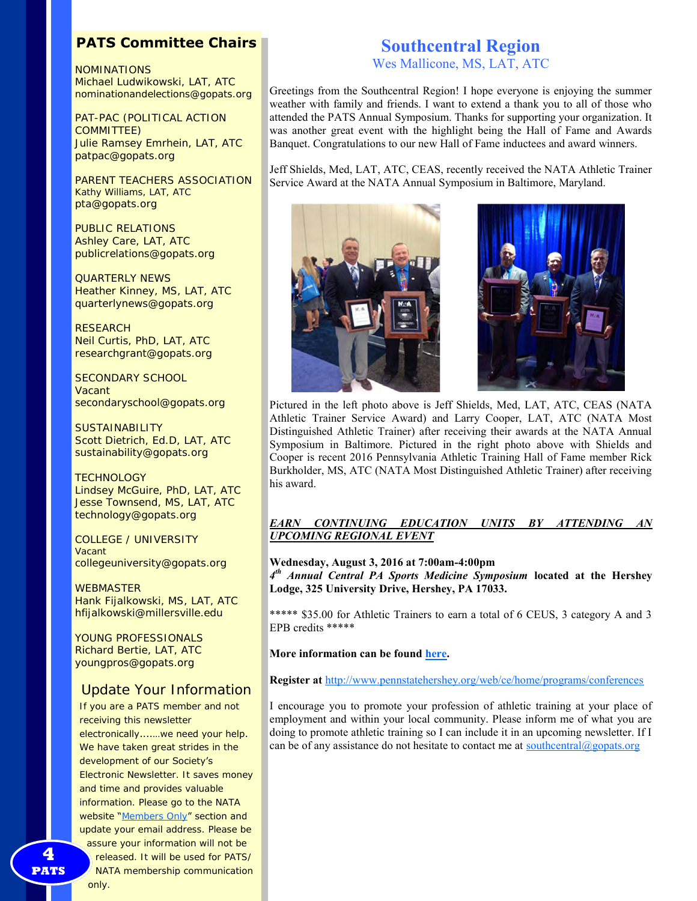## **PATS Committee Chairs**

NOMINATIONS Michael Ludwikowski, LAT, ATC nominationandelections@gopats.org

PAT-PAC (POLITICAL ACTION COMMITTEE) Julie Ramsey Emrhein, LAT, ATC patpac@gopats.org

PARENT TEACHERS ASSOCIATION Kathy Williams, LAT, ATC pta@gopats.org

PUBLIC RELATIONS Ashley Care, LAT, ATC publicrelations@gopats.org

QUARTERLY NEWS Heather Kinney, MS, LAT, ATC quarterlynews@gopats.org

**RESEARCH** Neil Curtis, PhD, LAT, ATC researchgrant@gopats.org

SECONDARY SCHOOL Vacant secondaryschool@gopats.org

**SUSTAINABILITY** Scott Dietrich, Ed.D, LAT, ATC sustainability@gopats.org

**TECHNOLOGY** Lindsey McGuire, PhD, LAT, ATC Jesse Townsend, MS, LAT, ATC technology@gopats.org

COLLEGE / UNIVERSITY Vacant collegeuniversity@gopats.org

**WEBMASTER** Hank Fijalkowski, MS, LAT, ATC hfijalkowski@millersville.edu

YOUNG PROFESSIONALS Richard Bertie, LAT, ATC youngpros@gopats.org

## Update Your Information

If you are a PATS member and not receiving this newsletter electronically....…we need your help. We have taken great strides in the development of our Society's Electronic Newsletter. It saves money and time and provides valuable information. Please go to the NATA website "[Members Only](http://www.gopats.org/members/members.htm)" section and update your email address. Please be assure your information will not be released. It will be used for PATS/

NATA membership communication

Wes Mallicone, MS, LAT, ATC

Greetings from the Southcentral Region! I hope everyone is enjoying the summer weather with family and friends. I want to extend a thank you to all of those who attended the PATS Annual Symposium. Thanks for supporting your organization. It was another great event with the highlight being the Hall of Fame and Awards Banquet. Congratulations to our new Hall of Fame inductees and award winners.

Jeff Shields, Med, LAT, ATC, CEAS, recently received the NATA Athletic Trainer Service Award at the NATA Annual Symposium in Baltimore, Maryland.



Pictured in the left photo above is Jeff Shields, Med, LAT, ATC, CEAS (NATA Athletic Trainer Service Award) and Larry Cooper, LAT, ATC (NATA Most Distinguished Athletic Trainer) after receiving their awards at the NATA Annual Symposium in Baltimore. Pictured in the right photo above with Shields and Cooper is recent 2016 Pennsylvania Athletic Training Hall of Fame member Rick Burkholder, MS, ATC (NATA Most Distinguished Athletic Trainer) after receiving his award.

### *EARN CONTINUING EDUCATION UNITS BY ATTENDING AN UPCOMING REGIONAL EVENT*

**Wednesday, August 3, 2016 at 7:00am-4:00pm** *4 th Annual Central PA Sports Medicine Symposium* **located at the Hershey Lodge, 325 University Drive, Hershey, PA 17033.**

\*\*\*\*\* \$35.00 for Athletic Trainers to earn a total of 6 CEUS, 3 category A and 3 EPB credits \*\*\*\*\*

### **More information can be found [here.](http://www.pennstatehershey.org/documents/307082/10684905/08032016+-+4th+Annual+Sports+Medicine+Symposium/b23d6841-1958-46e9-ab59-9d79f0103691)**

**Register at** <http://www.pennstatehershey.org/web/ce/home/programs/conferences>

I encourage you to promote your profession of athletic training at your place of employment and within your local community. Please inform me of what you are doing to promote athletic training so I can include it in an upcoming newsletter. If I can be of any assistance do not hesitate to contact me at  $\frac{\text{southcentral}(a) \text{gopats.org}}{\text{gopats.org}}$ 

**2 PATS** 

only.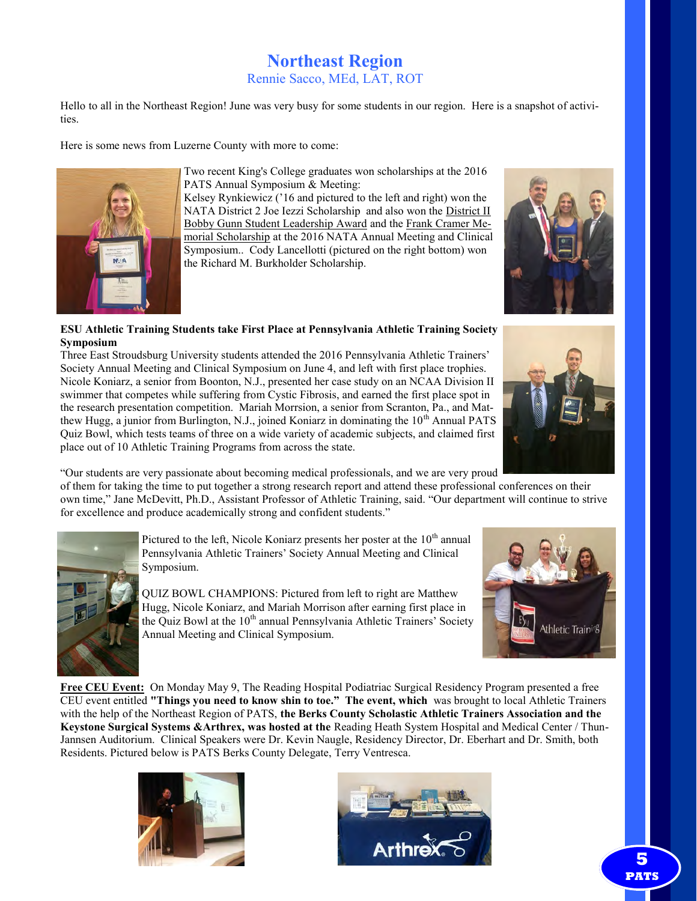# **Northeast Region**

Rennie Sacco, MEd, LAT, ROT

Hello to all in the Northeast Region! June was very busy for some students in our region. Here is a snapshot of activities.

Here is some news from Luzerne County with more to come:



Two recent King's College graduates won scholarships at the 2016 PATS Annual Symposium & Meeting:

Kelsey Rynkiewicz ('16 and pictured to the left and right) won the NATA District 2 Joe Iezzi Scholarship and also won the District II Bobby Gunn Student Leadership Award and the Frank Cramer Memorial Scholarship at the 2016 NATA Annual Meeting and Clinical Symposium.. Cody Lancellotti (pictured on the right bottom) won the Richard M. Burkholder Scholarship.

### **ESU Athletic Training Students take First Place at Pennsylvania Athletic Training Society Symposium**

Three East Stroudsburg University students attended the 2016 Pennsylvania Athletic Trainers' Society Annual Meeting and Clinical Symposium on June 4, and left with first place trophies. Nicole Koniarz, a senior from Boonton, N.J., presented her case study on an NCAA Division II swimmer that competes while suffering from Cystic Fibrosis, and earned the first place spot in the research presentation competition. Mariah Morrsion, a senior from Scranton, Pa., and Matthew Hugg, a junior from Burlington, N.J., joined Koniarz in dominating the  $10<sup>th</sup>$  Annual PATS Quiz Bowl, which tests teams of three on a wide variety of academic subjects, and claimed first place out of 10 Athletic Training Programs from across the state.

"Our students are very passionate about becoming medical professionals, and we are very proud

of them for taking the time to put together a strong research report and attend these professional conferences on their own time," Jane McDevitt, Ph.D., Assistant Professor of Athletic Training, said. "Our department will continue to strive for excellence and produce academically strong and confident students."



Pictured to the left, Nicole Koniarz presents her poster at the  $10<sup>th</sup>$  annual Pennsylvania Athletic Trainers' Society Annual Meeting and Clinical Symposium.

QUIZ BOWL CHAMPIONS: Pictured from left to right are Matthew Hugg, Nicole Koniarz, and Mariah Morrison after earning first place in the Quiz Bowl at the  $10<sup>th</sup>$  annual Pennsylvania Athletic Trainers' Society Annual Meeting and Clinical Symposium.



**Free CEU Event:** On Monday May 9, The Reading Hospital Podiatriac Surgical Residency Program presented a free CEU event entitled **"Things you need to know shin to toe." The event, which** was brought to local Athletic Trainers with the help of the Northeast Region of PATS, **the Berks County Scholastic Athletic Trainers Association and the Keystone Surgical Systems &Arthrex, was hosted at the** Reading Heath System Hospital and Medical Center / Thun-Jannsen Auditorium. Clinical Speakers were Dr. Kevin Naugle, Residency Director, Dr. Eberhart and Dr. Smith, both Residents. Pictured below is PATS Berks County Delegate, Terry Ventresca.







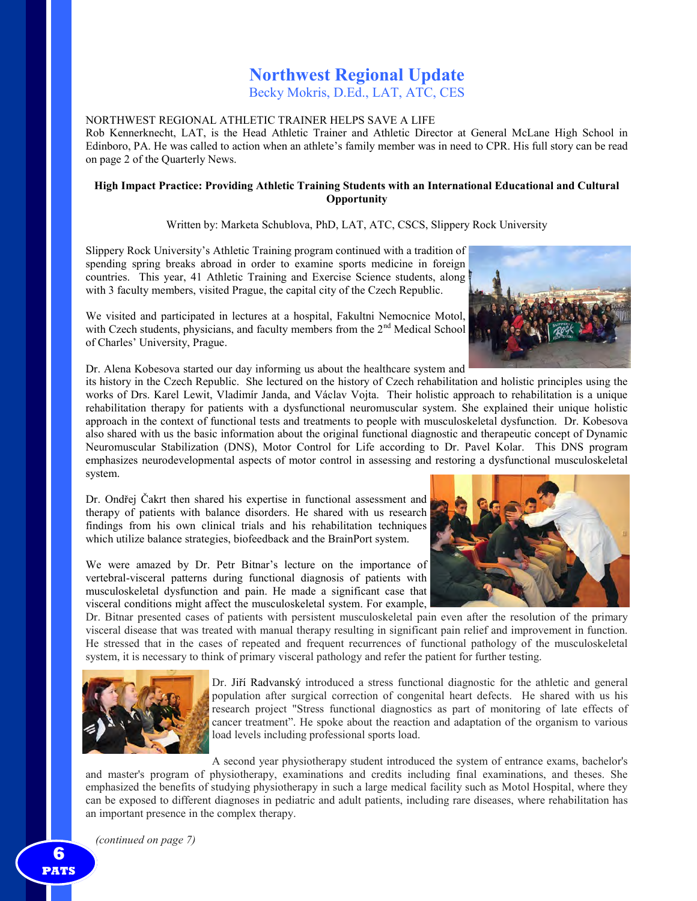## **Northwest Regional Update**

Becky Mokris, D.Ed., LAT, ATC, CES

### NORTHWEST REGIONAL ATHLETIC TRAINER HELPS SAVE A LIFE

Rob Kennerknecht, LAT, is the Head Athletic Trainer and Athletic Director at General McLane High School in Edinboro, PA. He was called to action when an athlete's family member was in need to CPR. His full story can be read on page 2 of the Quarterly News.

### **High Impact Practice: Providing Athletic Training Students with an International Educational and Cultural Opportunity**

Written by: Marketa Schublova, PhD, LAT, ATC, CSCS, Slippery Rock University

Slippery Rock University's Athletic Training program continued with a tradition of spending spring breaks abroad in order to examine sports medicine in foreign countries. This year, 41 Athletic Training and Exercise Science students, along with 3 faculty members, visited Prague, the capital city of the Czech Republic.

We visited and participated in lectures at a hospital, Fakultni Nemocnice Motol, with Czech students, physicians, and faculty members from the  $2<sup>nd</sup>$  Medical School of Charles' University, Prague.



Dr. Alena Kobesova started our day informing us about the healthcare system and

its history in the Czech Republic. She lectured on the history of Czech rehabilitation and holistic principles using the works of Drs. Karel Lewit, Vladimír Janda, and Václav Vojta. Their holistic approach to rehabilitation is a unique rehabilitation therapy for patients with a dysfunctional neuromuscular system. She explained their unique holistic approach in the context of functional tests and treatments to people with musculoskeletal dysfunction. Dr. Kobesova also shared with us the basic information about the original functional diagnostic and therapeutic concept of Dynamic Neuromuscular Stabilization (DNS), Motor Control for Life according to Dr. Pavel Kolar. This DNS program emphasizes neurodevelopmental aspects of motor control in assessing and restoring a dysfunctional musculoskeletal system.

Dr. Ondřej Čakrt then shared his expertise in functional assessment and therapy of patients with balance disorders. He shared with us research findings from his own clinical trials and his rehabilitation techniques which utilize balance strategies, biofeedback and the BrainPort system.

We were amazed by Dr. Petr Bitnar's lecture on the importance of vertebral-visceral patterns during functional diagnosis of patients with musculoskeletal dysfunction and pain. He made a significant case that visceral conditions might affect the musculoskeletal system. For example,

Dr. Bitnar presented cases of patients with persistent musculoskeletal pain even after the resolution of the primary visceral disease that was treated with manual therapy resulting in significant pain relief and improvement in function. He stressed that in the cases of repeated and frequent recurrences of functional pathology of the musculoskeletal system, it is necessary to think of primary visceral pathology and refer the patient for further testing.



Dr. Jiří Radvanský introduced a stress functional diagnostic for the athletic and general population after surgical correction of congenital heart defects. He shared with us his research project "Stress functional diagnostics as part of monitoring of late effects of cancer treatment". He spoke about the reaction and adaptation of the organism to various load levels including professional sports load.

A second year physiotherapy student introduced the system of entrance exams, bachelor's

and master's program of physiotherapy, examinations and credits including final examinations, and theses. She emphasized the benefits of studying physiotherapy in such a large medical facility such as Motol Hospital, where they can be exposed to different diagnoses in pediatric and adult patients, including rare diseases, where rehabilitation has an important presence in the complex therapy.

*(continued on page 7)*

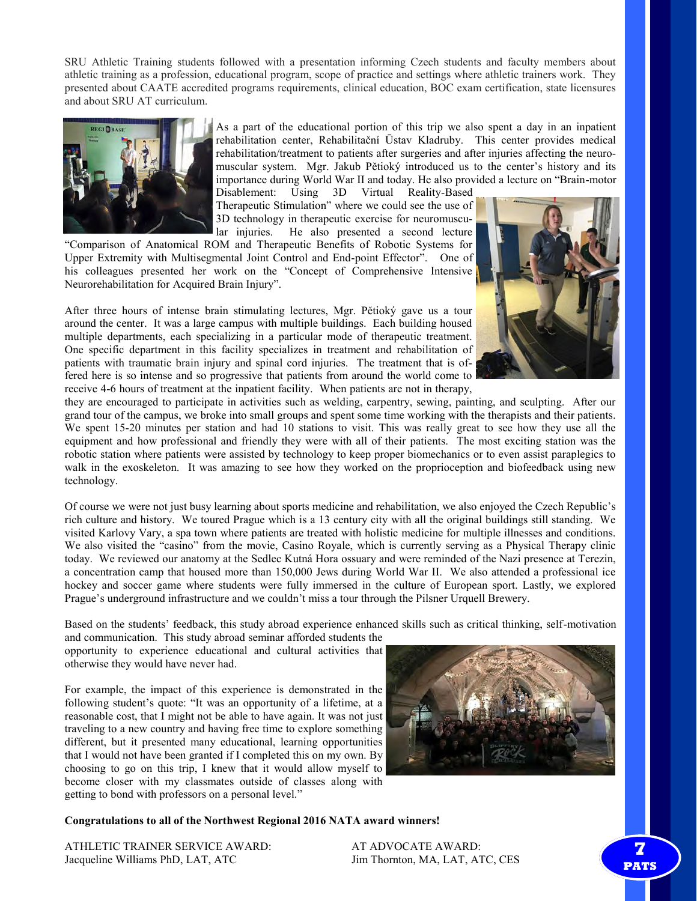SRU Athletic Training students followed with a presentation informing Czech students and faculty members about athletic training as a profession, educational program, scope of practice and settings where athletic trainers work. They presented about CAATE accredited programs requirements, clinical education, BOC exam certification, state licensures and about SRU AT curriculum.



As a part of the educational portion of this trip we also spent a day in an inpatient rehabilitation center, Rehabilitační Ūstav Kladruby. This center provides medical rehabilitation/treatment to patients after surgeries and after injuries affecting the neuromuscular system. Mgr. Jakub Pětioký introduced us to the center's history and its importance during World War II and today. He also provided a lecture on "Brain-motor

Disablement: Using 3D Virtual Reality-Based Therapeutic Stimulation" where we could see the use of 3D technology in therapeutic exercise for neuromuscular injuries. He also presented a second lecture

"Comparison of Anatomical ROM and Therapeutic Benefits of Robotic Systems for Upper Extremity with Multisegmental Joint Control and End-point Effector". One of his colleagues presented her work on the "Concept of Comprehensive Intensive Neurorehabilitation for Acquired Brain Injury".

After three hours of intense brain stimulating lectures, Mgr. Pětioký gave us a tour around the center. It was a large campus with multiple buildings. Each building housed multiple departments, each specializing in a particular mode of therapeutic treatment. One specific department in this facility specializes in treatment and rehabilitation of patients with traumatic brain injury and spinal cord injuries. The treatment that is offered here is so intense and so progressive that patients from around the world come to receive 4-6 hours of treatment at the inpatient facility. When patients are not in therapy,



they are encouraged to participate in activities such as welding, carpentry, sewing, painting, and sculpting. After our grand tour of the campus, we broke into small groups and spent some time working with the therapists and their patients. We spent 15-20 minutes per station and had 10 stations to visit. This was really great to see how they use all the equipment and how professional and friendly they were with all of their patients. The most exciting station was the robotic station where patients were assisted by technology to keep proper biomechanics or to even assist paraplegics to walk in the exoskeleton. It was amazing to see how they worked on the proprioception and biofeedback using new technology.

Of course we were not just busy learning about sports medicine and rehabilitation, we also enjoyed the Czech Republic's rich culture and history. We toured Prague which is a 13 century city with all the original buildings still standing. We visited Karlovy Vary, a spa town where patients are treated with holistic medicine for multiple illnesses and conditions. We also visited the "casino" from the movie, Casino Royale, which is currently serving as a Physical Therapy clinic today. We reviewed our anatomy at the Sedlec Kutná Hora ossuary and were reminded of the Nazi presence at Terezin, a concentration camp that housed more than 150,000 Jews during World War II. We also attended a professional ice hockey and soccer game where students were fully immersed in the culture of European sport. Lastly, we explored Prague's underground infrastructure and we couldn't miss a tour through the Pilsner Urquell Brewery.

Based on the students' feedback, this study abroad experience enhanced skills such as critical thinking, self-motivation

and communication. This study abroad seminar afforded students the opportunity to experience educational and cultural activities that otherwise they would have never had.

For example, the impact of this experience is demonstrated in the following student's quote: "It was an opportunity of a lifetime, at a reasonable cost, that I might not be able to have again. It was not just traveling to a new country and having free time to explore something different, but it presented many educational, learning opportunities that I would not have been granted if I completed this on my own. By choosing to go on this trip, I knew that it would allow myself to become closer with my classmates outside of classes along with getting to bond with professors on a personal level."



### **Congratulations to all of the Northwest Regional 2016 NATA award winners!**

ATHLETIC TRAINER SERVICE AWARD: AT ADVOCATE AWARD: Jacqueline Williams PhD, LAT, ATC Jim Thornton, MA, LAT, ATC, CES

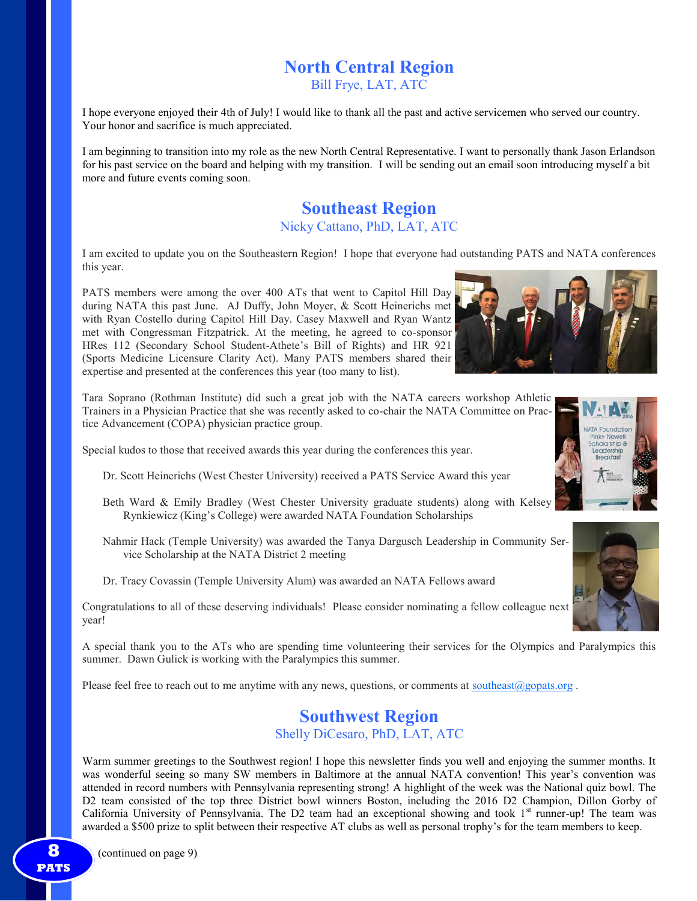# **North Central Region**

Bill Frye, LAT, ATC

I hope everyone enjoyed their 4th of July! I would like to thank all the past and active servicemen who served our country. Your honor and sacrifice is much appreciated.

I am beginning to transition into my role as the new North Central Representative. I want to personally thank Jason Erlandson for his past service on the board and helping with my transition. I will be sending out an email soon introducing myself a bit more and future events coming soon.

## **Southeast Region** Nicky Cattano, PhD, LAT, ATC

I am excited to update you on the Southeastern Region! I hope that everyone had outstanding PATS and NATA conferences this year.

PATS members were among the over 400 ATs that went to Capitol Hill Day during NATA this past June. AJ Duffy, John Moyer, & Scott Heinerichs met with Ryan Costello during Capitol Hill Day. Casey Maxwell and Ryan Wantz met with Congressman Fitzpatrick. At the meeting, he agreed to co-sponsor HRes 112 (Secondary School Student-Athete's Bill of Rights) and HR 921 (Sports Medicine Licensure Clarity Act). Many PATS members shared their expertise and presented at the conferences this year (too many to list).

Tara Soprano (Rothman Institute) did such a great job with the NATA careers workshop Athletic Trainers in a Physician Practice that she was recently asked to co-chair the NATA Committee on Practice Advancement (COPA) physician practice group.

Special kudos to those that received awards this year during the conferences this year.

- Dr. Scott Heinerichs (West Chester University) received a PATS Service Award this year
- Beth Ward & Emily Bradley (West Chester University graduate students) along with Kelsey Rynkiewicz (King's College) were awarded NATA Foundation Scholarships
- Nahmir Hack (Temple University) was awarded the Tanya Dargusch Leadership in Community Service Scholarship at the NATA District 2 meeting

Dr. Tracy Covassin (Temple University Alum) was awarded an NATA Fellows award

Congratulations to all of these deserving individuals! Please consider nominating a fellow colleague next year!

A special thank you to the ATs who are spending time volunteering their services for the Olympics and Paralympics this summer. Dawn Gulick is working with the Paralympics this summer.

Please feel free to reach out to me anytime with any news, questions, or comments at <u>[southeast@gopats.org](mailto:southeast@gopats.org)</u>.

## **Southwest Region**

Shelly DiCesaro, PhD, LAT, ATC

Warm summer greetings to the Southwest region! I hope this newsletter finds you well and enjoying the summer months. It was wonderful seeing so many SW members in Baltimore at the annual NATA convention! This year's convention was attended in record numbers with Pennsylvania representing strong! A highlight of the week was the National quiz bowl. The D2 team consisted of the top three District bowl winners Boston, including the 2016 D2 Champion, Dillon Gorby of California University of Pennsylvania. The D2 team had an exceptional showing and took  $1<sup>st</sup>$  runner-up! The team was awarded a \$500 prize to split between their respective AT clubs as well as personal trophy's for the team members to keep.





**PATS**